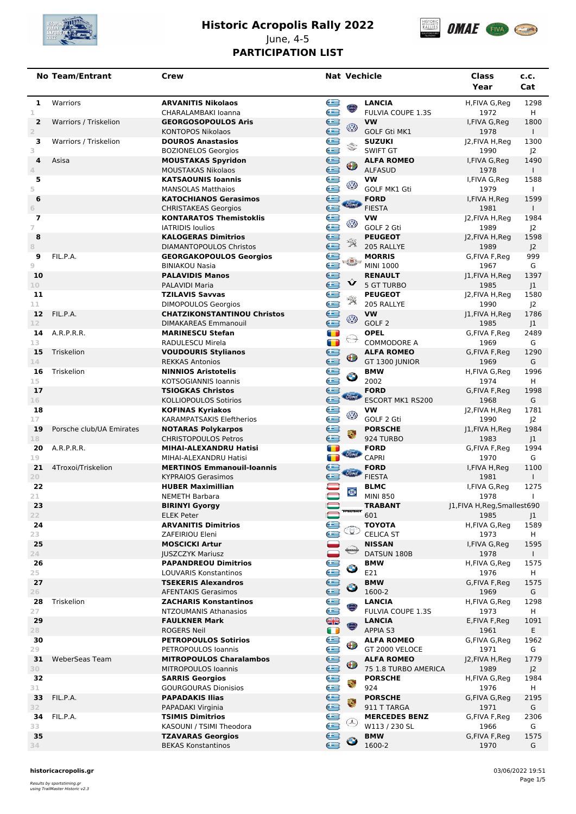

# **Historic Acropolis Rally 2022** June, 4-5



## **PARTICIPATION LIST**

|                                  | <b>No Team/Entrant</b>   | Crew                                                             | <b>Nat Vechicle</b>                 |                                           | Class<br>Year                         | c.c.<br>Cat            |
|----------------------------------|--------------------------|------------------------------------------------------------------|-------------------------------------|-------------------------------------------|---------------------------------------|------------------------|
| 1<br>1                           | Warriors                 | <b>ARVANITIS Nikolaos</b><br>CHARALAMBAKI Ioanna                 | e<br>$\odot$                        | <b>LANCIA</b><br><b>FULVIA COUPE 1.3S</b> | H,FIVA G,Reg<br>1972                  | 1298<br>H              |
| $\overline{2}$<br>$\overline{2}$ | Warriors / Triskelion    | <b>GEORGOSOPOULOS Aris</b><br><b>KONTOPOS Nikolaos</b>           |                                     | <b>VW</b><br><b>GOLF Gti MK1</b>          | I, FIVA G, Reg<br>1978                | 1800<br>$\mathbf{L}$   |
| з<br>3                           | Warriors / Triskelion    | <b>DOUROS Anastasios</b><br><b>BOZIONELOS Georgios</b>           |                                     | <b>SUZUKI</b><br><b>SWIFT GT</b>          | J2, FIVA H, Reg<br>1990               | 1300<br>J <sub>2</sub> |
| 4<br>4                           | Asisa                    | <b>MOUSTAKAS Spyridon</b><br><b>MOUSTAKAS Nikolaos</b>           |                                     | <b>ALFA ROMEO</b><br><b>ALFASUD</b>       | I, FIVA G, Reg<br>1978                | 1490<br>$\mathbf{L}$   |
| 5<br>5                           |                          | <b>KATSAOUNIS Ioannis</b><br><b>MANSOLAS Matthaios</b>           |                                     | <b>VW</b><br><b>GOLF MK1 Gti</b>          | I, FIVA G, Reg<br>1979                | 1588<br>$\mathbf{I}$   |
| 6<br>6                           |                          | <b>KATOCHIANOS Gerasimos</b><br><b>CHRISTAKEAS Georgios</b>      |                                     | <b>FORD</b><br><b>FIESTA</b>              | I, FIVA H, Req<br>1981                | 1599<br>$\mathbf{L}$   |
| $\overline{\mathbf{z}}$<br>7     |                          | <b>KONTARATOS Themistoklis</b><br><b>IATRIDIS loulios</b>        |                                     | <b>VW</b><br>GOLF 2 Gti                   | J2, FIVA H, Reg<br>1989               | 1984<br>J <sub>2</sub> |
| 8<br>8                           |                          | <b>KALOGERAS Dimitrios</b><br><b>DIAMANTOPOULOS Christos</b>     |                                     | <b>PEUGEOT</b><br>205 RALLYE              | J2, FIVA H, Reg<br>1989               | 1598<br>J <sup>2</sup> |
| 9<br>9                           | FIL.P.A.                 | <b>GEORGAKOPOULOS Georgios</b><br><b>BINIAKOU Nasia</b>          |                                     | <b>MORRIS</b><br><b>MINI 1000</b>         | G,FIVA F,Reg<br>1967                  | 999<br>G               |
| 10<br>10 <sub>1</sub>            |                          | <b>PALAVIDIS Manos</b><br>PALAVIDI Maria                         |                                     | <b>RENAULT</b><br><b>5 GT TURBO</b>       | J1, FIVA H, Reg<br>1985               | 1397<br>J1             |
| 11                               |                          | <b>TZILAVIS Savvas</b>                                           | e<br>$\mathcal{R}$                  | <b>PEUGEOT</b>                            | J2,FIVA H, Reg                        | 1580                   |
| 11<br>12 <sup>2</sup>            | FIL.P.A.                 | <b>DIMOPOULOS Georgios</b><br><b>CHATZIKONSTANTINOU Christos</b> |                                     | 205 RALLYE<br><b>VW</b>                   | 1990<br>J1, FIVA H, Reg               | J <sup>2</sup><br>1786 |
| 12                               |                          | <b>DIMAKAREAS Emmanouil</b>                                      | e<br>⊛                              | GOLF <sub>2</sub>                         | 1985                                  | J1                     |
| 14                               | A.R.P.R.R.               | <b>MARINESCU Stefan</b>                                          | $\blacksquare$<br>₩                 | <b>OPEL</b>                               | G,FIVA F,Reg                          | 2489                   |
| 13<br>15                         | Triskelion               | RADULESCU Mirela<br><b>VOUDOURIS Stylianos</b>                   | $\blacksquare$                      | <b>COMMODORE A</b><br><b>ALFA ROMEO</b>   | 1969<br>G,FIVA F,Reg                  | G<br>1290              |
| 14                               |                          | <b>REKKAS Antonios</b>                                           | e<br>⊕                              | GT 1300 JUNIOR                            | 1969                                  | G                      |
| 16                               | Triskelion               | <b>NINNIOS Aristotelis</b>                                       | <b>Lees</b><br>$\bullet$            | <b>BMW</b>                                | H,FIVA G,Reg                          | 1996                   |
| 15<br>17                         |                          | <b>KOTSOGIANNIS Ioannis</b><br><b>TSIOGKAS Christos</b>          |                                     | 2002<br><b>FORD</b>                       | 1974<br>G,FIVA F,Reg                  | H<br>1998              |
| 16                               |                          | <b>KOLLIOPOULOS Sotirios</b>                                     | <b>Stord</b>                        | ESCORT MK1 RS200                          | 1968                                  | G                      |
| 18                               |                          | <b>KOFINAS Kyriakos</b>                                          | ē                                   | <b>VW</b>                                 | J2,FIVA H, Reg                        | 1781                   |
| 17                               |                          | <b>KARAMPATSAKIS Eleftherios</b>                                 | ⊛                                   | GOLF 2 Gti                                | 1990                                  | J <sub>2</sub>         |
| 19<br>18                         | Porsche club/UA Emirates | <b>NOTARAS Polykarpos</b><br><b>CHRISTOPOULOS Petros</b>         | e<br>۷                              | <b>PORSCHE</b><br>924 TURBO               | J1, FIVA H, Reg<br>1983               | 1984<br> 1             |
| 20<br>19                         | A.R.P.R.R.               | MIHAI-ALEXANDRU Hatisi<br>MIHAI-ALEXANDRU Hatisi                 | $\blacksquare$<br>$\blacksquare$    | <b>FORD</b><br><b>CAPRI</b>               | G,FIVA F,Reg<br>1970                  | 1994<br>G              |
| 21<br>20                         | 4Troxoi/Triskelion       | <b>MERTINOS Emmanouil-Ioannis</b><br><b>KYPRAIOS Gerasimos</b>   | e<br><i><b>Simo</b></i>             | <b>FORD</b><br><b>FIESTA</b>              | I, FIVA H, Reg<br>1981                | 1100<br>$\mathbf{L}$   |
| 22<br>21                         |                          | <b>HUBER Maximillian</b><br><b>NEMETH Barbara</b>                | $\blacksquare$<br>$\circledcirc$    | <b>BLMC</b><br><b>MINI 850</b>            | I,FIVA G,Reg<br>1978                  | 1275<br>$\mathbf{I}$   |
| 23<br>22                         |                          | <b>BIRINYI Gyorgy</b><br><b>ELEK Peter</b>                       | $\qquad \qquad \qquad \blacksquare$ | <b>TRABANT</b><br>601                     | J1, FIVA H, Reg, Smallest 690<br>1985 |                        |
| 24                               |                          | <b>ARVANITIS Dimitrios</b>                                       |                                     | <b>TOYOTA</b>                             | H,FIVA G,Reg                          | J1<br>1589             |
| 23                               |                          | ZAFEIRIOU Eleni                                                  | e                                   | <b>CELICA ST</b>                          | 1973                                  | H                      |
| 25<br>$24 -$                     |                          | <b>MOSCICKI Artur</b><br><b>JUSZCZYK Mariusz</b>                 |                                     | <b>NISSAN</b><br>DATSUN 180B              | I, FIVA G, Reg<br>1978                | 1595<br>$\mathbf{L}$   |
| 26<br>25                         |                          | <b>PAPANDREOU Dimitrios</b><br>LOUVARIS Konstantinos             | e<br>$\bullet$                      | <b>BMW</b><br>E21                         | H,FIVA G,Reg<br>1976                  | 1575<br>H              |
| 27                               |                          | <b>TSEKERIS Alexandros</b>                                       | e                                   | <b>BMW</b>                                | G, FIVA F, Req                        | 1575                   |
| 26                               |                          | <b>AFENTAKIS Gerasimos</b>                                       | $\bullet$                           | 1600-2                                    | 1969                                  | G                      |
| 28<br>27                         | Triskelion               | <b>ZACHARIS Konstantinos</b><br>NTZOUMANIS Athanasios            | e                                   | <b>LANCIA</b><br>FULVIA COUPE 1.3S        | H,FIVA G,Reg<br>1973                  | 1298<br>H              |
| 29                               |                          | <b>FAULKNER Mark</b>                                             |                                     | <b>LANCIA</b>                             | E,FIVA F,Reg                          | 1091                   |
| 28                               |                          | <b>ROGERS Neil</b>                                               | <b>SB</b><br>0                      | APPIA S3                                  | 1961                                  | E.                     |
| 30                               |                          | <b>PETROPOULOS Sotirios</b>                                      | e<br>$\bigoplus$                    | <b>ALFA ROMEO</b>                         | G,FIVA G,Reg                          | 1962                   |
| 29<br>31                         | WeberSeas Team           | PETROPOULOS Ioannis<br><b>MITROPOULOS Charalambos</b>            |                                     | GT 2000 VELOCE<br><b>ALFA ROMEO</b>       | 1971<br>J2, FIVA H, Reg               | G<br>1779              |
| 30                               |                          | MITROPOULOS Ioannis                                              | e<br>⊕                              | 75 1.8 TURBO AMERICA                      | 1989                                  | J <sub>2</sub>         |
| 32                               |                          | <b>SARRIS Georgios</b>                                           | uses:<br>٩                          | <b>PORSCHE</b>                            | H,FIVA G,Reg                          | 1984                   |
| 31<br>33                         | FIL.P.A.                 | <b>GOURGOURAS Dionisios</b><br><b>PAPADAKIS Ilias</b>            |                                     | 924<br><b>PORSCHE</b>                     | 1976<br>G,FIVA G,Reg                  | H<br>2195              |
| 32                               |                          | PAPADAKI Virginia                                                | ۳                                   | 911 T TARGA                               | 1971                                  | G                      |
| 34                               | FIL.P.A.                 | <b>TSIMIS Dimitrios</b>                                          | é<br>⊌                              | <b>MERCEDES BENZ</b>                      | G,FIVA F,Reg                          | 2306                   |
| 33<br>35                         |                          | KASOUNI / TSIMI Theodora                                         |                                     | W113 / 230 SL                             | 1966                                  | G                      |
| 34                               |                          | <b>TZAVARAS Georgios</b><br><b>BEKAS Konstantinos</b>            | e                                   | <b>BMW</b><br>1600-2                      | G,FIVA F,Reg<br>1970                  | 1575<br>G              |
|                                  |                          |                                                                  |                                     |                                           |                                       |                        |

**historicacropolis.gr** 03/06/2022 19:51

Results by sportstiming.gr using TrailMaster Historic v2.3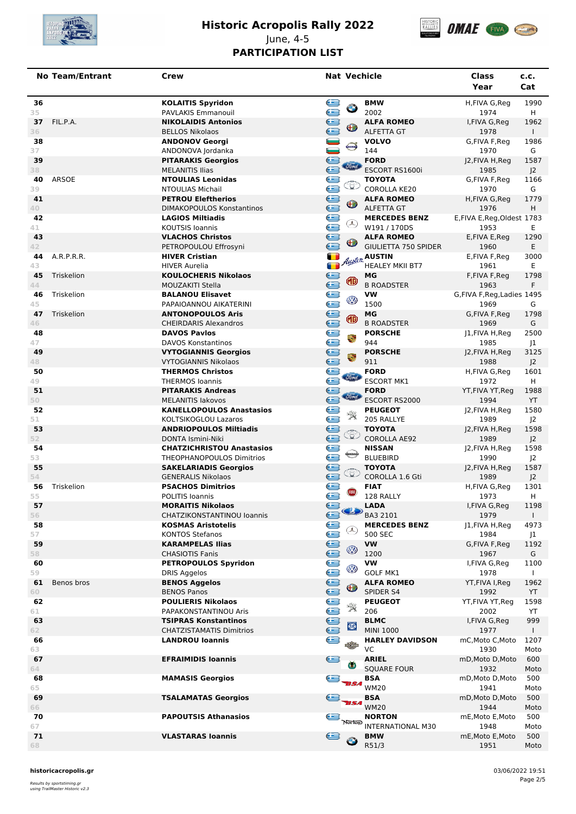

### **Historic Acropolis Rally 2022** June, 4-5



### **PARTICIPATION LIST**

|          | <b>No Team/Entrant</b> | Crew                                                          | <b>Nat Vechicle</b>                                                       | Class<br>Year                       | c.c.<br>Cat            |
|----------|------------------------|---------------------------------------------------------------|---------------------------------------------------------------------------|-------------------------------------|------------------------|
| 36<br>35 |                        | <b>KOLAITIS Spyridon</b><br>PAVLAKIS Emmanouil                | e<br><b>BMW</b><br>$\bullet$<br>2002                                      | H,FIVA G,Reg<br>1974                | 1990<br>H              |
| 37       | FIL.P.A.               | <b>NIKOLAIDIS Antonios</b>                                    | e<br><b>ALFA ROMEO</b><br>⊕                                               | I, FIVA G, Reg                      | 1962                   |
| 36<br>38 |                        | <b>BELLOS Nikolaos</b><br><b>ANDONOV Georgi</b>               | <b>ALFETTA GT</b><br><b>VOLVO</b>                                         | 1978<br>G,FIVA F,Reg                | $\mathbf{L}$<br>1986   |
| 37       |                        | ANDONOVA Jordanka                                             | $\blacksquare$<br>⊖<br>144                                                | 1970                                | G                      |
| 39<br>38 |                        | <b>PITARAKIS Georgios</b><br><b>MELANITIS Ilias</b>           | é<br><b>FORD</b><br><i><b>Simd</b></i><br>ESCORT RS1600i                  | J2, FIVA H, Reg<br>1985             | 1587<br>J <sup>2</sup> |
| 40<br>39 | ARSOE                  | <b>NTOULIAS Leonidas</b><br>NTOULIAS Michail                  | ĕ<br>ΤΟΥΟΤΑ<br>Œ<br><b>COROLLA KE20</b>                                   | G,FIVA F,Req<br>1970                | 1166<br>G              |
| 41       |                        | <b>PETROU Eleftherios</b>                                     | <b>ALFA ROMEO</b>                                                         | H,FIVA G,Reg                        | 1779                   |
| 40<br>42 |                        | <b>DIMAKOPOULOS Konstantinos</b><br><b>LAGIOS Miltiadis</b>   | ies<br>es<br>⊕<br><b>ALFETTA GT</b><br><b>MERCEDES BENZ</b>               | 1976<br>E,FIVA E,Reg,Oldest 1783    | H                      |
| 41       |                        | <b>KOUTSIS loannis</b>                                        | ⊛<br>W191 / 170DS                                                         | 1953                                | Е                      |
| 43<br>42 |                        | <b>VLACHOS Christos</b><br>PETROPOULOU Effrosyni              | é<br><b>ALFA ROMEO</b><br><b>GIULIETTA 750 SPIDER</b>                     | E, FIVA E, Reg<br>1960              | 1290<br>E              |
| 44       | A.R.P.R.R.             | <b>HIVER Cristian</b>                                         | <b>August</b> AUSTIN                                                      | E,FIVA F,Reg                        | 3000                   |
| 43<br>45 | Triskelion             | <b>HIVER Aurelia</b><br><b>KOULOCHERIS Nikolaos</b>           | <b>HEALEY MKII BT7</b><br>МG                                              | 1961<br>F,FIVA F,Reg                | Е<br>1798              |
| 44       |                        | <b>MOUZAKITI Stella</b>                                       | e<br>◍<br><b>B ROADSTER</b>                                               | 1963                                | F.                     |
| 46<br>45 | Triskelion             | <b>BALANOU Elisavet</b><br>PAPAIOANNOU AIKATERINI             | ē<br>VW<br>Ø<br>1500                                                      | G, FIVA F, Reg, Ladies 1495<br>1969 | G                      |
| 47<br>46 | Triskelion             | <b>ANTONOPOULOS Aris</b><br><b>CHEIRDARIS Alexandros</b>      | e<br>МG<br>◍<br><b>B ROADSTER</b>                                         | G,FIVA F,Reg<br>1969                | 1798<br>G              |
| 48       |                        | <b>DAVOS Pavlos</b>                                           | <b>PORSCHE</b><br>٩                                                       | J1, FIVA H, Reg                     | 2500                   |
| 47<br>49 |                        | <b>DAVOS Konstantinos</b><br><b>VYTOGIANNIS Georgios</b>      | <b>Jeeg</b><br>944<br><b>PORSCHE</b>                                      | 1985<br>J2, FIVA H, Reg             | J1<br>3125             |
| 48       |                        | <b>VYTOGIANNIS Nikolaos</b>                                   | ۳<br>911                                                                  | 1988                                | J <sup>2</sup>         |
| 50<br>49 |                        | <b>THERMOS Christos</b><br><b>THERMOS Ioannis</b>             | u<br>Coon<br><b>FORD</b><br><b>Sind</b><br><b>ESCORT MK1</b>              | H,FIVA G,Reg<br>1972                | 1601<br>H              |
| 51       |                        | <b>PITARAKIS Andreas</b>                                      | <b>FORD</b><br><b>Simil</b>                                               | YT, FIVA YT, Reg                    | 1988                   |
| 50<br>52 |                        | <b>MELANITIS lakovos</b><br><b>KANELLOPOULOS Anastasios</b>   | ESCORT RS2000<br><b>PEUGEOT</b>                                           | 1994<br>J2, FIVA H, Reg             | YT<br>1580             |
| 51       |                        | KOLTSIKOGLOU Lazaros                                          | $\mathcal{R}$<br>205 RALLYE                                               | 1989                                | J2                     |
| 53<br>52 |                        | <b>ANDRIOPOULOS Miltiadis</b><br>DONTA Ismini-Niki            | jeee<br>ΤΟΥΟΤΑ<br>≌<br><b>COROLLA AE92</b>                                | J2, FIVA H, Reg<br>1989             | 1598<br>J <sup>2</sup> |
| 54<br>53 |                        | <b>CHATZICHRISTOU Anastasios</b><br>THEOPHANOPOULOS Dimitrios | e<br><b>NISSAN</b><br><b>BLUEBIRD</b>                                     | J2, FIVA H, Reg<br>1990             | 1598<br>J <sub>2</sub> |
| 55       |                        | <b>SAKELARIADIS Georgios</b>                                  | e<br><b>TOYOTA</b>                                                        | J2, FIVA H, Reg                     | 1587                   |
| 54<br>56 | Triskelion             | <b>GENERALIS Nikolaos</b><br><b>PSACHOS Dimitrios</b>         | Œ<br>COROLLA 1.6 Gti<br><b>FIAT</b>                                       | 1989<br>H,FIVA G,Reg                | J <sub>2</sub><br>1301 |
| 55       |                        | POLITIS Ioannis                                               | e<br>œ<br>128 RALLY                                                       | 1973                                | H                      |
| 57<br>56 |                        | <b>MORAITIS Nikolaos</b><br>CHATZIKONSTANTINOU Ioannis        | e<br><b>LADA</b><br>$\bullet$ BA3 2101                                    | I, FIVA G, Reg<br>1979              | 1198<br>$\mathbf{I}$   |
| 58       |                        | <b>KOSMAS Aristotelis</b>                                     | e<br><b>MERCEDES BENZ</b><br>⊛                                            | J1, FIVA H, Reg                     | 4973                   |
| 57<br>59 |                        | <b>KONTOS Stefanos</b><br><b>KARAMPELAS Ilias</b>             | 500 SEC<br>e<br>VW                                                        | 1984<br>G,FIVA F,Reg                | J1<br>1192             |
| 58       |                        | <b>CHASIOTIS Fanis</b>                                        | ☜<br>1200                                                                 | 1967                                | G                      |
| 60<br>59 |                        | <b>PETROPOULOS Spyridon</b><br>DRIS Aggelos                   | uses<br>C<br><b>VW</b><br>Ø<br><b>GOLF MK1</b>                            | I, FIVA G, Reg<br>1978              | 1100<br>$\mathbf{I}$   |
| 61<br>60 | Benos bros             | <b>BENOS Aggelos</b><br><b>BENOS Panos</b>                    | <b>ALFA ROMEO</b><br>₩<br>SPIDER S4                                       | YT, FIVA I, Reg<br>1992             | 1962<br>YT             |
| 62       |                        | <b>POULIERIS Nikolaos</b>                                     | e<br><b>PEUGEOT</b><br>戈                                                  | YT, FIVA YT, Reg                    | 1598                   |
| 61<br>63 |                        | PAPAKONSTANTINOU Aris<br><b>TSIPRAS Konstantinos</b>          | 206<br><b>BLMC</b>                                                        | 2002<br>I, FIVA G, Reg              | YT<br>999              |
| 62       |                        | <b>CHATZISTAMATIS Dimitrios</b>                               | e<br>Ø<br><b>MINI 1000</b>                                                | 1977                                | $\mathbf{L}$           |
| 66<br>63 |                        | <b>LANDROU loannis</b>                                        | e<br><b>HARLEY DAVIDSON</b><br>VC                                         | mC, Moto C, Moto<br>1930            | 1207<br>Moto           |
| 67<br>64 |                        | <b>EFRAIMIDIS Ioannis</b>                                     | e<br><b>ARIEL</b><br><b>SQUARE FOUR</b>                                   | mD, Moto D, Moto<br>1932            | 600<br>Moto            |
| 68<br>65 |                        | <b>MAMASIS Georgios</b>                                       | e<br>BSA<br><b>WM20</b>                                                   | mD, Moto D, Moto<br>1941            | 500<br>Moto            |
| 69<br>66 |                        | <b>TSALAMATAS Georgios</b>                                    | <b>BSA</b><br><b>WM20</b>                                                 | mD, Moto D, Moto<br>1944            | 500<br>Moto            |
| 70<br>67 |                        | <b>PAPOUTSIS Athanasios</b>                                   | $\bigoplus$ $\overline{\mathbb{R}}$<br><b>NORTON</b><br>INTERNATIONAL M30 | mE, Moto E, Moto<br>1948            | 500<br>Moto            |
| 71       |                        | <b>VLASTARAS loannis</b>                                      | e<br><b>BMW</b>                                                           | mE, Moto E, Moto                    | 500                    |
| 68       |                        |                                                               | R51/3                                                                     | 1951                                | Moto                   |

**historicacropolis.gr** 03/06/2022 19:51

Results by sportstiming.gr using TrailMaster Historic v2.3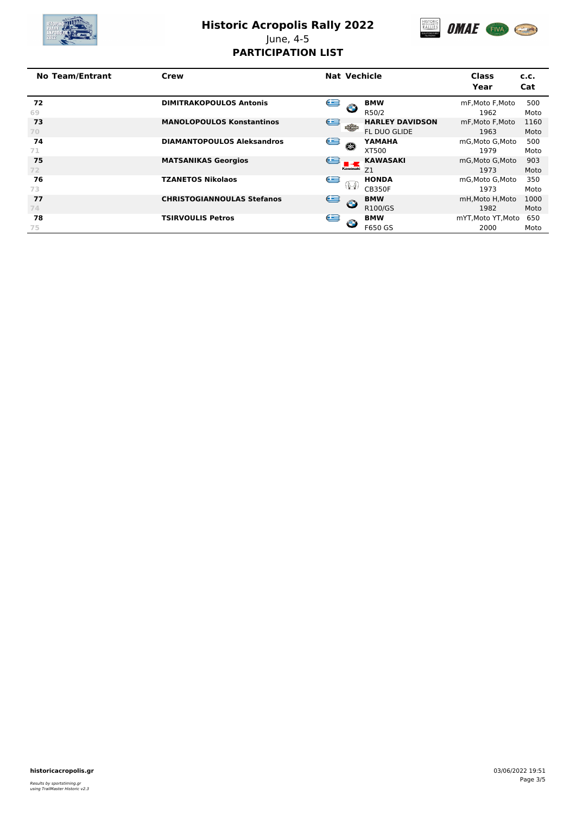

# **Historic Acropolis Rally 2022**



June, 4-5 **PARTICIPATION LIST**

| <b>No Team/Entrant</b> | Crew                              | <b>Nat Vechicle</b> |                   |                        | <b>Class</b><br>Year | c.c.<br>Cat |
|------------------------|-----------------------------------|---------------------|-------------------|------------------------|----------------------|-------------|
| 72                     | <b>DIMITRAKOPOULOS Antonis</b>    | œ                   | $\bullet$         | <b>BMW</b>             | mF, Moto F, Moto     | 500         |
| 69                     |                                   |                     |                   | R50/2                  | 1962                 | Moto        |
| 73                     | <b>MANOLOPOULOS Konstantinos</b>  | e                   | <b>The Second</b> | <b>HARLEY DAVIDSON</b> | mF.Moto F.Moto       | 1160        |
| 70                     |                                   |                     |                   | <b>FL DUO GLIDE</b>    | 1963                 | Moto        |
| 74                     | <b>DIAMANTOPOULOS Aleksandros</b> | e                   | Œ                 | YAMAHA                 | mG.Moto G.Moto       | 500         |
| 71                     |                                   |                     |                   | XT500                  | 1979                 | Moto        |
| 75                     | <b>MATSANIKAS Georgios</b>        | $\bullet$           |                   | <b>KAWASAKI</b>        | mG.Moto G.Moto       | 903         |
| 72                     |                                   |                     | Kawasaki          | Z1                     | 1973                 | Moto        |
| 76                     | <b>TZANETOS Nikolaos</b>          | œ                   |                   | <b>HONDA</b>           | mG.Moto G.Moto       | 350         |
| 73                     |                                   |                     | -1921             | <b>CB350F</b>          | 1973                 | Moto        |
| 77                     | <b>CHRISTOGIANNOULAS Stefanos</b> | e                   | $\bullet$         | <b>BMW</b>             | mH, Moto H, Moto     | 1000        |
| 74.                    |                                   |                     |                   | R100/GS                | 1982                 | Moto        |
| 78                     | <b>TSIRVOULIS Petros</b>          | G                   | $\bullet$         | <b>BMW</b>             | mYT.Moto YT.Moto     | 650         |
| 75                     |                                   |                     |                   | F650 GS                | 2000                 | Moto        |

**historicacropolis.gr** 03/06/2022 19:51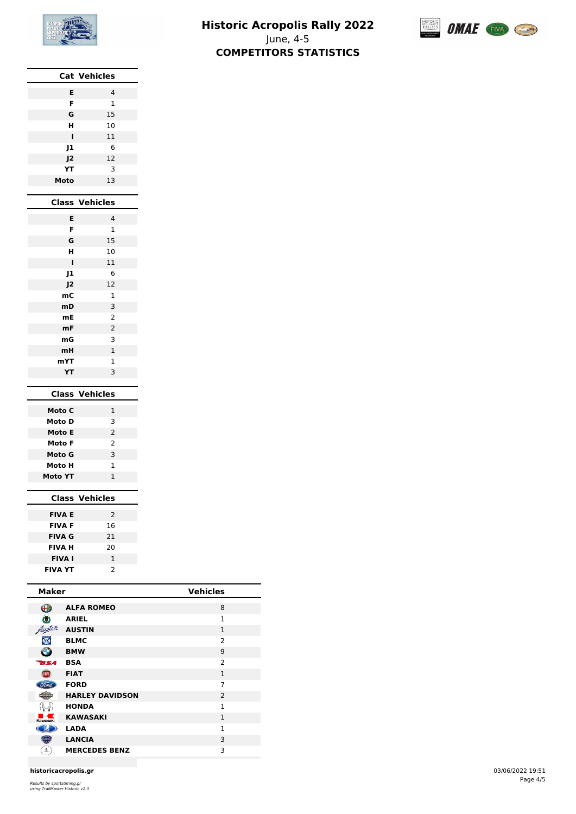

**Cat Vehicles**

#### **Historic Acropolis Rally 2022** June, 4-5 **COMPETITORS STATISTICS**



| E              | $\overline{4}$        |
|----------------|-----------------------|
| F              | $\mathbf{1}$          |
| G              | 15                    |
| н              | 10                    |
| ī              | 11                    |
| J1             | 6                     |
| J2             | 12                    |
| YΤ             | 3                     |
| Moto           | 13                    |
|                |                       |
| <b>Class</b>   | <b>Vehicles</b>       |
| Е              | $\overline{4}$        |
| F              | $\mathbf{1}$          |
| G              | 15                    |
| н              | 10                    |
| I              | 11                    |
| J1             | 6                     |
| 12             | 12                    |
| mC             | $\mathbf{1}$          |
| mD             | 3                     |
| mE             | 2                     |
| mF             | $\overline{2}$        |
| mG             | 3                     |
| mH             | $\overline{1}$        |
| mYT            | $\overline{1}$        |
| YT             | 3                     |
|                |                       |
|                | <b>Class Vehicles</b> |
| Moto C         | 1                     |
| Moto D         | 3                     |
| Moto E         | $\overline{2}$        |
| Moto F         | 2                     |
| Moto G         | 3                     |
| Moto H         | 1                     |
| <b>Moto YT</b> | 1                     |
|                |                       |
|                | <b>Class Vehicles</b> |
|                |                       |

| <b>FIVA E</b>  | $\mathcal{P}$ |
|----------------|---------------|
| <b>FIVA F</b>  | 16            |
| FIVA G         | 21            |
| FIVA H         | 20            |
| <b>FIVA I</b>  | 1             |
| <b>FIVA YT</b> | $\mathcal{P}$ |
|                |               |

| <b>Maker</b>   |                        | <b>Vehicles</b> |
|----------------|------------------------|-----------------|
| ⊕              | <b>ALFA ROMEO</b>      | 8               |
| ŎÒ             | <b>ARIEL</b>           | $\mathbf{1}$    |
| Austen         | <b>AUSTIN</b>          | 1               |
| $\circledcirc$ | <b>BLMC</b>            | $\mathcal{P}$   |
| $\bullet$      | <b>BMW</b>             | 9               |
| <b>TISA</b>    | <b>BSA</b>             | $\overline{2}$  |
| <b>FIRE</b>    | <b>FIAT</b>            | $\mathbf{1}$    |
|                | <b>FORD</b>            | 7               |
|                | <b>HARLEY DAVIDSON</b> | $\overline{2}$  |
|                | <b>HONDA</b>           | $\mathbf{1}$    |
| Kawasaki       | <b>KAWASAKI</b>        | 1               |
|                | <b>LADA</b>            | 1               |
| œ              | <b>LANCIA</b>          | 3               |
|                | <b>MERCEDES BENZ</b>   | 3               |

**historicacropolis.gr** 03/06/2022 19:51